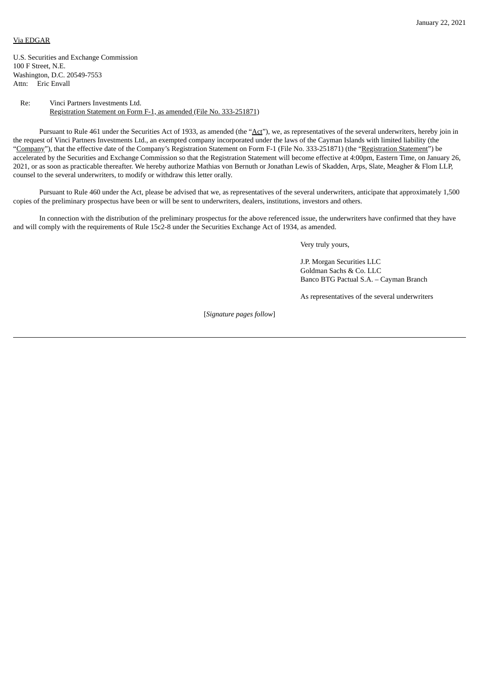## Via EDGAR

U.S. Securities and Exchange Commission 100 F Street, N.E. Washington, D.C. 20549-7553 Attn: Eric Envall

## Re: Vinci Partners Investments Ltd. Registration Statement on Form F-1, as amended (File No. 333-251871)

Pursuant to Rule 461 under the Securities Act of 1933, as amended (the "Act"), we, as representatives of the several underwriters, hereby join in the request of Vinci Partners Investments Ltd., an exempted company incorporated under the laws of the Cayman Islands with limited liability (the "Company"), that the effective date of the Company's Registration Statement on Form F-1 (File No. 333-251871) (the "Registration Statement") be accelerated by the Securities and Exchange Commission so that the Registration Statement will become effective at 4:00pm, Eastern Time, on January 26, 2021, or as soon as practicable thereafter. We hereby authorize Mathias von Bernuth or Jonathan Lewis of Skadden, Arps, Slate, Meagher & Flom LLP, counsel to the several underwriters, to modify or withdraw this letter orally.

Pursuant to Rule 460 under the Act, please be advised that we, as representatives of the several underwriters, anticipate that approximately 1,500 copies of the preliminary prospectus have been or will be sent to underwriters, dealers, institutions, investors and others.

In connection with the distribution of the preliminary prospectus for the above referenced issue, the underwriters have confirmed that they have and will comply with the requirements of Rule 15c2-8 under the Securities Exchange Act of 1934, as amended.

Very truly yours,

J.P. Morgan Securities LLC Goldman Sachs & Co. LLC Banco BTG Pactual S.A. – Cayman Branch

As representatives of the several underwriters

[*Signature pages follow*]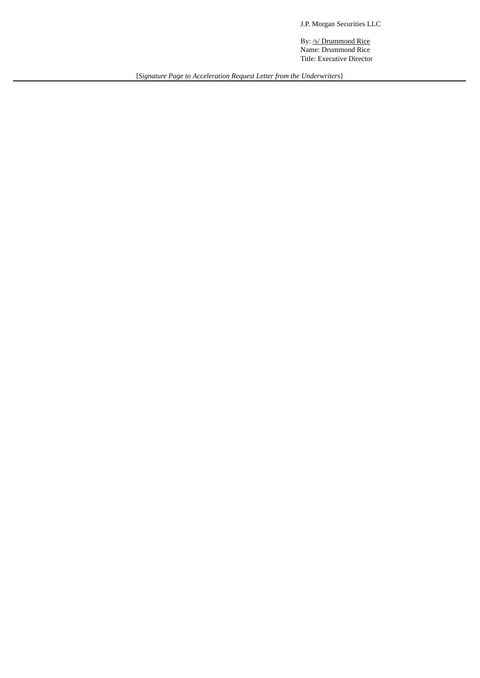J.P. Morgan Securities LLC

By: /s/ Drummond Rice Name: Drummond Rice Title: Executive Director

[*Signature Page to Acceleration Request Letter from the Underwriters*]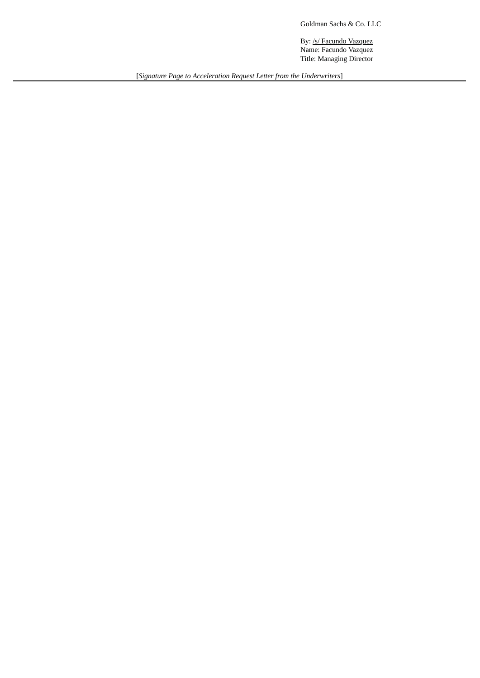Goldman Sachs & Co. LLC

By: /s/ Facundo Vazquez Name: Facundo Vazquez Title: Managing Director

[*Signature Page to Acceleration Request Letter from the Underwriters*]